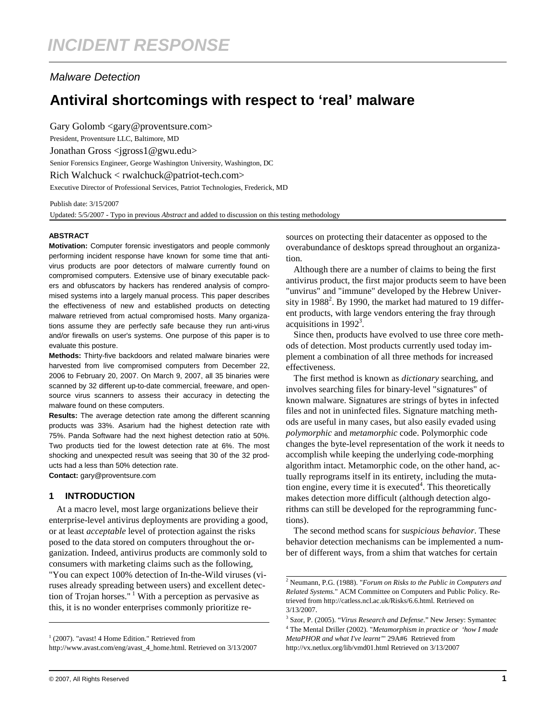# Malware Detection

# **Antiviral shortcomings with respect to 'real' malware**

Gary Golomb <gary@proventsure.com> President, Proventsure LLC, Baltimore, MD Jonathan Gross <jgross1@gwu.edu> Senior Forensics Engineer, George Washington University, Washington, DC Rich Walchuck < rwalchuck@patriot-tech.com> Executive Director of Professional Services, Patriot Technologies, Frederick, MD

Publish date: 3/15/2007

Updated: 5/5/2007 - Typo in previous *Abstract* and added to discussion on this testing methodology

#### **ABSTRACT**

**Motivation:** Computer forensic investigators and people commonly performing incident response have known for some time that antivirus products are poor detectors of malware currently found on compromised computers. Extensive use of binary executable packers and obfuscators by hackers has rendered analysis of compromised systems into a largely manual process. This paper describes the effectiveness of new and established products on detecting malware retrieved from actual compromised hosts. Many organizations assume they are perfectly safe because they run anti-virus and/or firewalls on user's systems. One purpose of this paper is to evaluate this posture.

**Methods:** Thirty-five backdoors and related malware binaries were harvested from live compromised computers from December 22, 2006 to February 20, 2007. On March 9, 2007, all 35 binaries were scanned by 32 different up-to-date commercial, freeware, and opensource virus scanners to assess their accuracy in detecting the malware found on these computers.

**Results:** The average detection rate among the different scanning products was 33%. Asarium had the highest detection rate with 75%. Panda Software had the next highest detection ratio at 50%. Two products tied for the lowest detection rate at 6%. The most shocking and unexpected result was seeing that 30 of the 32 products had a less than 50% detection rate. **Contact:** gary@proventsure.com

**1 INTRODUCTION** 

At a macro level, most large organizations believe their enterprise-level antivirus deployments are providing a good, or at least *acceptable* level of protection against the risks posed to the data stored on computers throughout the organization. Indeed, antivirus products are commonly sold to consumers with marketing claims such as the following,

"You can expect 100% detection of In-the-Wild viruses (viruses already spreading between users) and excellent detection of Trojan horses."<sup>1</sup> With a perception as pervasive as this, it is no wonder enterprises commonly prioritize re-

http://www.avast.com/eng/avast\_4\_home.html. Retrieved on 3/13/2007

sources on protecting their datacenter as opposed to the overabundance of desktops spread throughout an organization.

Although there are a number of claims to being the first antivirus product, the first major products seem to have been "unvirus" and "immune" developed by the Hebrew University in  $1988<sup>2</sup>$ . By 1990, the market had matured to 19 different products, with large vendors entering the fray through acquisitions in  $1992<sup>3</sup>$ .

Since then, products have evolved to use three core methods of detection. Most products currently used today implement a combination of all three methods for increased effectiveness.

The first method is known as *dictionary* searching, and involves searching files for binary-level "signatures" of known malware. Signatures are strings of bytes in infected files and not in uninfected files. Signature matching methods are useful in many cases, but also easily evaded using *polymorphic* and *metamorphic* code. Polymorphic code changes the byte-level representation of the work it needs to accomplish while keeping the underlying code-morphing algorithm intact. Metamorphic code, on the other hand, actually reprograms itself in its entirety, including the mutation engine, every time it is executed<sup>4</sup>. This theoretically makes detection more difficult (although detection algorithms can still be developed for the reprogramming functions).

The second method scans for *suspicious behavior*. These behavior detection mechanisms can be implemented a number of different ways, from a shim that watches for certain

<sup>&</sup>lt;sup>1</sup> (2007). "avast! 4 Home Edition." Retrieved from

<sup>2</sup> Neumann, P.G. (1988). "*Forum on Risks to the Public in Computers and Related Systems.*" ACM Committee on Computers and Public Policy. Retrieved from http://catless.ncl.ac.uk/Risks/6.6.html. Retrieved on 3/13/2007.

<sup>3</sup> Szor, P. (2005). "*Virus Research and Defense*." New Jersey: Symantec 4 The Mental Driller (2002). "*Metamorphism in practice or 'how I made MetaPHOR and what I've learnt'*" 29A#6 Retrieved from http://vx.netlux.org/lib/vmd01.html Retrieved on 3/13/2007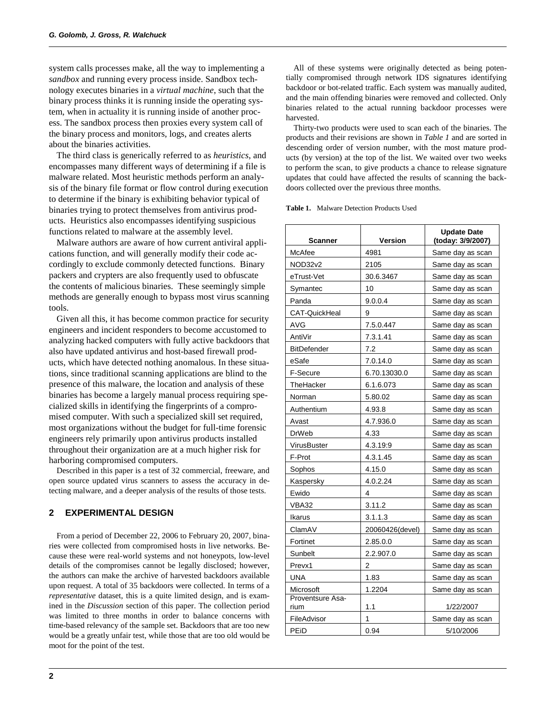system calls processes make, all the way to implementing a *sandbox* and running every process inside. Sandbox technology executes binaries in a *virtual machine*, such that the binary process thinks it is running inside the operating system, when in actuality it is running inside of another process. The sandbox process then proxies every system call of the binary process and monitors, logs, and creates alerts about the binaries activities.

The third class is generically referred to as *heuristics*, and encompasses many different ways of determining if a file is malware related. Most heuristic methods perform an analysis of the binary file format or flow control during execution to determine if the binary is exhibiting behavior typical of binaries trying to protect themselves from antivirus products. Heuristics also encompasses identifying suspicious functions related to malware at the assembly level.

Malware authors are aware of how current antiviral applications function, and will generally modify their code accordingly to exclude commonly detected functions. Binary packers and crypters are also frequently used to obfuscate the contents of malicious binaries. These seemingly simple methods are generally enough to bypass most virus scanning tools.

Given all this, it has become common practice for security engineers and incident responders to become accustomed to analyzing hacked computers with fully active backdoors that also have updated antivirus and host-based firewall products, which have detected nothing anomalous. In these situations, since traditional scanning applications are blind to the presence of this malware, the location and analysis of these binaries has become a largely manual process requiring specialized skills in identifying the fingerprints of a compromised computer. With such a specialized skill set required, most organizations without the budget for full-time forensic engineers rely primarily upon antivirus products installed throughout their organization are at a much higher risk for harboring compromised computers.

Described in this paper is a test of 32 commercial, freeware, and open source updated virus scanners to assess the accuracy in detecting malware, and a deeper analysis of the results of those tests.

### **2 EXPERIMENTAL DESIGN**

From a period of December 22, 2006 to February 20, 2007, binaries were collected from compromised hosts in live networks. Because these were real-world systems and not honeypots, low-level details of the compromises cannot be legally disclosed; however, the authors can make the archive of harvested backdoors available upon request. A total of 35 backdoors were collected. In terms of a *representative* dataset, this is a quite limited design, and is examined in the *Discussion* section of this paper. The collection period was limited to three months in order to balance concerns with time-based relevancy of the sample set. Backdoors that are too new would be a greatly unfair test, while those that are too old would be moot for the point of the test.

All of these systems were originally detected as being potentially compromised through network IDS signatures identifying backdoor or bot-related traffic. Each system was manually audited, and the main offending binaries were removed and collected. Only binaries related to the actual running backdoor processes were harvested.

Thirty-two products were used to scan each of the binaries. The products and their revisions are shown in *Table 1* and are sorted in descending order of version number, with the most mature products (by version) at the top of the list. We waited over two weeks to perform the scan, to give products a chance to release signature updates that could have affected the results of scanning the backdoors collected over the previous three months.

**Table 1.** Malware Detection Products Used

| Scanner                  | Version         | <b>Update Date</b><br>(today: 3/9/2007) |
|--------------------------|-----------------|-----------------------------------------|
| McAfee                   | 4981            | Same day as scan                        |
| NOD32v2                  | 2105            | Same day as scan                        |
| eTrust-Vet               | 30.6.3467       | Same day as scan                        |
| Symantec                 | 10              | Same day as scan                        |
| Panda                    | 9.0.0.4         | Same day as scan                        |
| <b>CAT-QuickHeal</b>     | 9               | Same day as scan                        |
| AVG                      | 7.5.0.447       | Same day as scan                        |
| AntiVir                  | 7.3.1.41        | Same day as scan                        |
| <b>BitDefender</b>       | 7.2             | Same day as scan                        |
| eSafe                    | 7.0.14.0        | Same day as scan                        |
| F-Secure                 | 6.70.13030.0    | Same day as scan                        |
| TheHacker                | 6.1.6.073       | Same day as scan                        |
| Norman                   | 5.80.02         | Same day as scan                        |
| Authentium               | 4.93.8          | Same day as scan                        |
| Avast                    | 4.7.936.0       | Same day as scan                        |
| <b>DrWeb</b>             | 4.33            | Same day as scan                        |
| VirusBuster              | 4.3.19:9        | Same day as scan                        |
| F-Prot                   | 4.3.1.45        | Same day as scan                        |
| Sophos                   | 4.15.0          | Same day as scan                        |
| Kaspersky                | 4.0.2.24        | Same day as scan                        |
| Ewido                    | 4               | Same day as scan                        |
| VBA32                    | 3.11.2          | Same day as scan                        |
| Ikarus                   | 3.1.1.3         | Same day as scan                        |
| ClamAV                   | 20060426(devel) | Same day as scan                        |
| Fortinet                 | 2.85.0.0        | Same day as scan                        |
| Sunbelt                  | 2.2.907.0       | Same day as scan                        |
| Prevx1                   | 2               | Same day as scan                        |
| <b>UNA</b>               | 1.83            | Same day as scan                        |
| Microsoft                | 1.2204          | Same day as scan                        |
| Proventsure Asa-<br>rium | 1.1             | 1/22/2007                               |
| FileAdvisor              | 1               | Same day as scan                        |
| PEiD                     | 0.94            | 5/10/2006                               |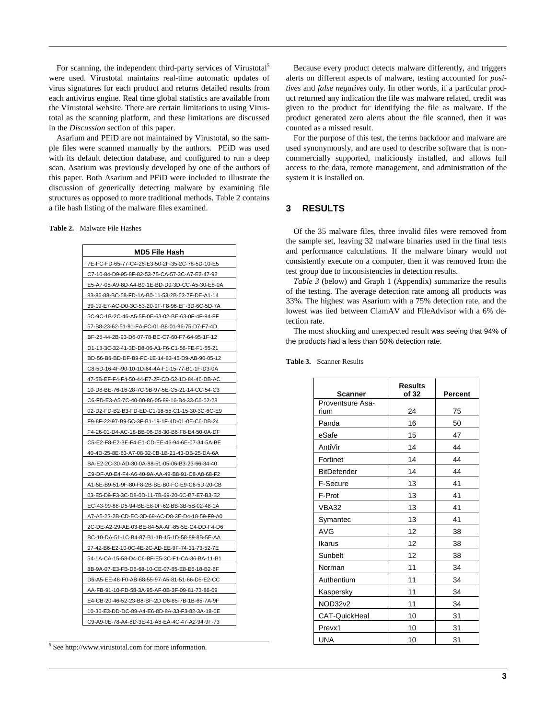For scanning, the independent third-party services of Virustotal<sup>5</sup> were used. Virustotal maintains real-time automatic updates of virus signatures for each product and returns detailed results from each antivirus engine. Real time global statistics are available from the Virustotal website. There are certain limitations to using Virustotal as the scanning platform, and these limitations are discussed in the *Discussion* section of this paper.

Asarium and PEiD are not maintained by Virustotal, so the sample files were scanned manually by the authors. PEiD was used with its default detection database, and configured to run a deep scan. Asarium was previously developed by one of the authors of this paper. Both Asarium and PEiD were included to illustrate the discussion of generically detecting malware by examining file structures as opposed to more traditional methods. Table 2 contains a file hash listing of the malware files examined.

**Table 2.** Malware File Hashes

| MD5 File Hash                                   |  |  |
|-------------------------------------------------|--|--|
| 7E-FC-FD-65-77-C4-26-E3-50-2F-35-2C-78-5D-10-E5 |  |  |
| C7-10-84-D9-95-8F-82-53-75-CA-57-3C-A7-E2-47-92 |  |  |
| E5-A7-05-A9-8D-A4-B9-1E-BD-D9-3D-CC-A5-30-E8-0A |  |  |
| 83-86-88-BC-58-FD-1A-B0-11-53-2B-52-7F-DE-A1-14 |  |  |
| 39-19-E7-AC-D0-3C-53-20-9F-F8-96-EF-3D-6C-5D-7A |  |  |
| 5C-9C-1B-2C-46-A5-5F-0E-63-02-BE-63-0F-4F-94-FF |  |  |
| 57-B8-23-62-51-91-FA-FC-01-B8-01-96-75-D7-F7-4D |  |  |
| BF-25-44-2B-93-D6-07-78-BC-C7-60-F7-64-95-1F-12 |  |  |
| D1-13-3C-32-41-3D-D8-06-A1-F6-C1-56-FE-F1-55-21 |  |  |
| BD-56-B8-BD-DF-B9-FC-1E-14-83-45-D9-AB-90-05-12 |  |  |
| C8-5D-16-4F-90-10-1D-64-4A-F1-15-77-B1-1F-D3-0A |  |  |
| 47-5B-EF-F4-F4-50-44-E7-2F-CD-52-1D-84-46-DB-AC |  |  |
| 10-D8-BE-76-16-28-7C-9B-97-5E-C5-21-14-CC-54-C3 |  |  |
| C6-FD-E3-A5-7C-40-00-86-05-89-16-B4-33-C6-02-28 |  |  |
| 02-D2-FD-B2-B3-FD-ED-C1-98-55-C1-15-30-3C-6C-E9 |  |  |
| F9-8F-22-97-B9-5C-3F-B1-19-1F-4D-01-0E-C6-DB-24 |  |  |
| F4-26-01-D4-AC-18-BB-06-D8-30-B6-F8-E4-50-0A-DF |  |  |
| C5-E2-F8-E2-3E-F4-E1-CD-EE-46-94-6E-07-34-5A-BE |  |  |
| 40-4D-25-8E-63-A7-08-32-0B-1B-21-43-DB-25-DA-6A |  |  |
| BA-E2-2C-30-AD-30-0A-88-51-05-06-B3-23-66-34-40 |  |  |
| C9-DF-A0-E4-F4-A6-40-9A-AA-49-B8-91-C8-A8-68-F2 |  |  |
| A1-5E-B9-51-9F-80-F8-2B-BE-B0-FC-E9-C6-5D-20-CB |  |  |
| 03-E5-D9-F3-3C-D8-0D-11-7B-69-20-6C-B7-E7-B3-E2 |  |  |
| EC-43-99-88-D5-94-BE-E8-0F-62-BB-3B-5B-02-48-1A |  |  |
| A7-A5-23-2B-CD-EC-3D-69-AC-D8-3E-D4-18-59-F9-A0 |  |  |
| 2C-DE-A2-29-AE-03-BE-84-5A-AF-85-5E-C4-DD-F4-D6 |  |  |
| BC-10-DA-51-1C-B4-87-B1-1B-15-1D-58-89-8B-5E-AA |  |  |
| 97-42-B6-E2-10-0C-4E-2C-AD-EE-9F-74-31-73-52-7E |  |  |
| 54-1A-CA-15-58-D4-C6-BF-E5-3C-F1-CA-36-BA-11-B1 |  |  |
| 8B-9A-07-E3-FB-D6-68-10-CE-07-85-E8-E6-18-B2-6F |  |  |
| D6-A5-EE-48-F0-AB-68-55-97-A5-81-51-66-D5-E2-CC |  |  |
| AA-FB-91-10-FD-58-3A-95-AF-0B-3F-09-81-73-86-09 |  |  |
| E4-CB-20-46-52-23-B8-BF-2D-D6-85-7B-1B-65-7A-9F |  |  |
| 10-36-E3-DD-DC-89-A4-E6-8D-8A-33-F3-82-3A-18-0E |  |  |
| C9-A9-0E-78-A4-8D-3E-41-A8-EA-4C-47-A2-94-9F-73 |  |  |

5 See http://www.virustotal.com for more information.

Because every product detects malware differently, and triggers alerts on different aspects of malware, testing accounted for *positives* and *false negatives* only. In other words, if a particular product returned any indication the file was malware related, credit was given to the product for identifying the file as malware. If the product generated zero alerts about the file scanned, then it was counted as a missed result.

For the purpose of this test, the terms backdoor and malware are used synonymously, and are used to describe software that is noncommercially supported, maliciously installed, and allows full access to the data, remote management, and administration of the system it is installed on.

## **3 RESULTS**

Of the 35 malware files, three invalid files were removed from the sample set, leaving 32 malware binaries used in the final tests and performance calculations. If the malware binary would not consistently execute on a computer, then it was removed from the test group due to inconsistencies in detection results.

*Table 3* (below) and Graph 1 (Appendix) summarize the results of the testing. The average detection rate among all products was 33%. The highest was Asarium with a 75% detection rate, and the lowest was tied between ClamAV and FileAdvisor with a 6% detection rate.

The most shocking and unexpected result was seeing that 94% of the products had a less than 50% detection rate.

| <b>Scanner</b>       | <b>Results</b><br>of 32 | Percent |
|----------------------|-------------------------|---------|
| Proventsure Asa-     |                         |         |
| rium                 | 24                      | 75      |
| Panda                | 16                      | 50      |
| eSafe                | 15                      | 47      |
| AntiVir              | 14                      | 44      |
| Fortinet             | 14                      | 44      |
| <b>BitDefender</b>   | 14                      | 44      |
| F-Secure             | 13                      | 41      |
| F-Prot               | 13                      | 41      |
| VBA32                | 13                      | 41      |
| Symantec             | 13                      | 41      |
| <b>AVG</b>           | 12                      | 38      |
| Ikarus               | 12                      | 38      |
| Sunbelt              | 12                      | 38      |
| Norman               | 11                      | 34      |
| Authentium           | 11                      | 34      |
| Kaspersky            | 11                      | 34      |
| NOD32v2              | 11                      | 34      |
| <b>CAT-QuickHeal</b> | 10                      | 31      |
| Prevx1               | 10                      | 31      |
| <b>UNA</b>           | 10                      | 31      |

**Table 3.** Scanner Results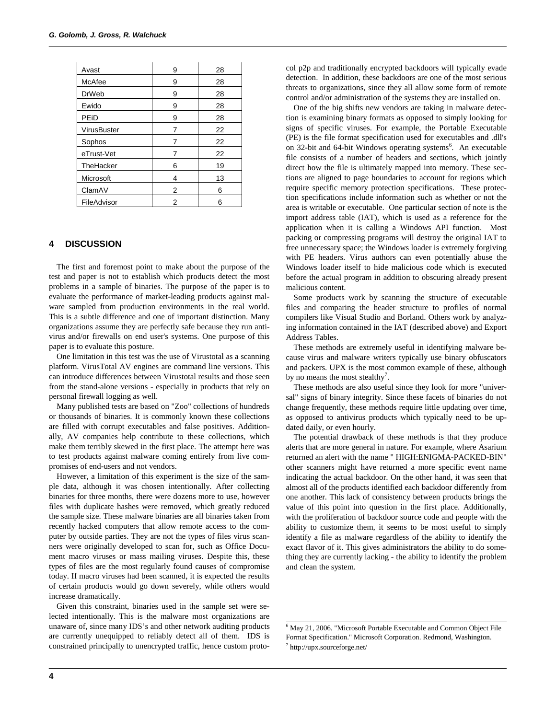| Avast        | 9 | 28 |
|--------------|---|----|
| McAfee       | 9 | 28 |
| <b>DrWeb</b> | 9 | 28 |
| Ewido        | 9 | 28 |
| PEiD         | 9 | 28 |
| VirusBuster  | 7 | 22 |
| Sophos       | 7 | 22 |
| eTrust-Vet   | 7 | 22 |
| TheHacker    | 6 | 19 |
| Microsoft    | 4 | 13 |
| ClamAV       | 2 | 6  |
| FileAdvisor  | 2 | 6  |

#### **4 DISCUSSION**

The first and foremost point to make about the purpose of the test and paper is not to establish which products detect the most problems in a sample of binaries. The purpose of the paper is to evaluate the performance of market-leading products against malware sampled from production environments in the real world. This is a subtle difference and one of important distinction. Many organizations assume they are perfectly safe because they run antivirus and/or firewalls on end user's systems. One purpose of this paper is to evaluate this posture.

One limitation in this test was the use of Virustotal as a scanning platform. VirusTotal AV engines are command line versions. This can introduce differences between Virustotal results and those seen from the stand-alone versions - especially in products that rely on personal firewall logging as well.

Many published tests are based on "Zoo" collections of hundreds or thousands of binaries. It is commonly known these collections are filled with corrupt executables and false positives. Additionally, AV companies help contribute to these collections, which make them terribly skewed in the first place. The attempt here was to test products against malware coming entirely from live compromises of end-users and not vendors.

However, a limitation of this experiment is the size of the sample data, although it was chosen intentionally. After collecting binaries for three months, there were dozens more to use, however files with duplicate hashes were removed, which greatly reduced the sample size. These malware binaries are all binaries taken from recently hacked computers that allow remote access to the computer by outside parties. They are not the types of files virus scanners were originally developed to scan for, such as Office Document macro viruses or mass mailing viruses. Despite this, these types of files are the most regularly found causes of compromise today. If macro viruses had been scanned, it is expected the results of certain products would go down severely, while others would increase dramatically.

Given this constraint, binaries used in the sample set were selected intentionally. This is the malware most organizations are unaware of, since many IDS's and other network auditing products are currently unequipped to reliably detect all of them. IDS is constrained principally to unencrypted traffic, hence custom protocol p2p and traditionally encrypted backdoors will typically evade detection. In addition, these backdoors are one of the most serious threats to organizations, since they all allow some form of remote control and/or administration of the systems they are installed on.

One of the big shifts new vendors are taking in malware detection is examining binary formats as opposed to simply looking for signs of specific viruses. For example, the Portable Executable (PE) is the file format specification used for executables and .dll's on 32-bit and 64-bit Windows operating systems<sup>6</sup>. An executable file consists of a number of headers and sections, which jointly direct how the file is ultimately mapped into memory. These sections are aligned to page boundaries to account for regions which require specific memory protection specifications. These protection specifications include information such as whether or not the area is writable or executable. One particular section of note is the import address table (IAT), which is used as a reference for the application when it is calling a Windows API function. Most packing or compressing programs will destroy the original IAT to free unnecessary space; the Windows loader is extremely forgiving with PE headers. Virus authors can even potentially abuse the Windows loader itself to hide malicious code which is executed before the actual program in addition to obscuring already present malicious content.

Some products work by scanning the structure of executable files and comparing the header structure to profiles of normal compilers like Visual Studio and Borland. Others work by analyzing information contained in the IAT (described above) and Export Address Tables.

These methods are extremely useful in identifying malware because virus and malware writers typically use binary obfuscators and packers. UPX is the most common example of these, although by no means the most stealthy<sup>7</sup>.

These methods are also useful since they look for more "universal" signs of binary integrity. Since these facets of binaries do not change frequently, these methods require little updating over time, as opposed to antivirus products which typically need to be updated daily, or even hourly.

The potential drawback of these methods is that they produce alerts that are more general in nature. For example, where Asarium returned an alert with the name " HIGH:ENIGMA-PACKED-BIN" other scanners might have returned a more specific event name indicating the actual backdoor. On the other hand, it was seen that almost all of the products identified each backdoor differently from one another. This lack of consistency between products brings the value of this point into question in the first place. Additionally, with the proliferation of backdoor source code and people with the ability to customize them, it seems to be most useful to simply identify a file as malware regardless of the ability to identify the exact flavor of it. This gives administrators the ability to do something they are currently lacking - the ability to identify the problem and clean the system.

<sup>6</sup> May 21, 2006. "Microsoft Portable Executable and Common Object File Format Specification." Microsoft Corporation. Redmond, Washington. 7 http://upx.sourceforge.net/